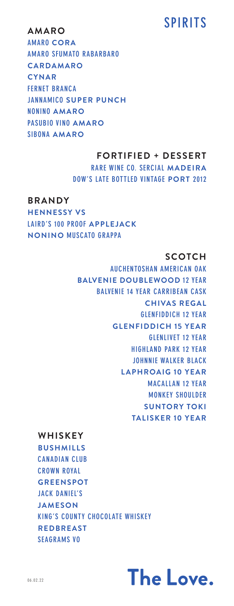# **SPIRITS AMARO**

**AMARO CORA AMARO SFUMATO RABARBARO CARDAMARO CYNAR FERNET BRANCA JANNAMICO SUPER PUNCH NONINO AMARO PASUBIO VINO AMARO SIBONA AMARO**

# **FORTIFIED + DESSERT**

**RARE WINE CO. SERCIAL MADEIRA DOW'S LATE BOTTLED VINTAGE PORT 2012**

# **BRANDY**

**HENNESSY VS LAIRD'S 100 PROOF APPLEJACK NONINO MUSCATO GRAPPA**

# **SCOTCH**

**AUCHENTOSHAN AMERICAN OAK BALVENIE DOUBLEWOOD 12 YEAR BALVENIE 14 YEAR CARRIBEAN CASK CHIVAS REGAL GLENFIDDICH 12 YEAR GLENFIDDICH 15 YEAR GLENLIVET 12 YEAR HIGHLAND PARK 12 YEAR JOHNNIE WALKER BLACK LAPHROAIG 10 YEAR MACALLAN 12 YEAR MONKEY SHOULDER SUNTORY TOKI TALISKER 10 YEAR**

#### **WHISKEY**

**BUSHMILLS CANADIAN CLUB CROWN ROYAL GREENSPOT JACK DANIEL'S JAMESON KING'S COUNTY CHOCOLATE WHISKEY REDBREAST SEAGRAMS VO**